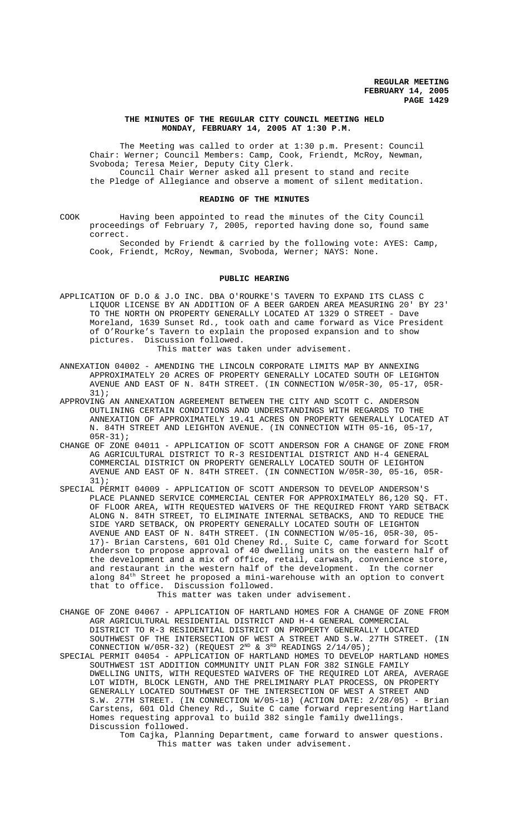### **THE MINUTES OF THE REGULAR CITY COUNCIL MEETING HELD MONDAY, FEBRUARY 14, 2005 AT 1:30 P.M.**

The Meeting was called to order at 1:30 p.m. Present: Council Chair: Werner; Council Members: Camp, Cook, Friendt, McRoy, Newman, Svoboda; Teresa Meier, Deputy City Clerk. Council Chair Werner asked all present to stand and recite the Pledge of Allegiance and observe a moment of silent meditation.

#### **READING OF THE MINUTES**

COOK Having been appointed to read the minutes of the City Council proceedings of February 7, 2005, reported having done so, found same correct.

Seconded by Friendt & carried by the following vote: AYES: Camp, Cook, Friendt, McRoy, Newman, Svoboda, Werner; NAYS: None.

#### **PUBLIC HEARING**

APPLICATION OF D.O & J.O INC. DBA O'ROURKE'S TAVERN TO EXPAND ITS CLASS C LIQUOR LICENSE BY AN ADDITION OF A BEER GARDEN AREA MEASURING 20' BY 23' TO THE NORTH ON PROPERTY GENERALLY LOCATED AT 1329 O STREET - Dave Moreland, 1639 Sunset Rd., took oath and came forward as Vice President of O'Rourke's Tavern to explain the proposed expansion and to show pictures. Discussion followed.

This matter was taken under advisement.

- ANNEXATION 04002 AMENDING THE LINCOLN CORPORATE LIMITS MAP BY ANNEXING APPROXIMATELY 20 ACRES OF PROPERTY GENERALLY LOCATED SOUTH OF LEIGHTON AVENUE AND EAST OF N. 84TH STREET. (IN CONNECTION W/05R-30, 05-17, 05R-31);
- APPROVING AN ANNEXATION AGREEMENT BETWEEN THE CITY AND SCOTT C. ANDERSON OUTLINING CERTAIN CONDITIONS AND UNDERSTANDINGS WITH REGARDS TO THE ANNEXATION OF APPROXIMATELY 19.41 ACRES ON PROPERTY GENERALLY LOCATED AT N. 84TH STREET AND LEIGHTON AVENUE. (IN CONNECTION WITH 05-16, 05-17, 05R-31);
- CHANGE OF ZONE 04011 APPLICATION OF SCOTT ANDERSON FOR A CHANGE OF ZONE FROM AG AGRICULTURAL DISTRICT TO R-3 RESIDENTIAL DISTRICT AND H-4 GENERAL COMMERCIAL DISTRICT ON PROPERTY GENERALLY LOCATED SOUTH OF LEIGHTON AVENUE AND EAST OF N. 84TH STREET. (IN CONNECTION W/05R-30, 05-16, 05R-31);
- SPECIAL PERMIT 04009 APPLICATION OF SCOTT ANDERSON TO DEVELOP ANDERSON'S PLACE PLANNED SERVICE COMMERCIAL CENTER FOR APPROXIMATELY 86,120 SQ. FT. OF FLOOR AREA, WITH REQUESTED WAIVERS OF THE REQUIRED FRONT YARD SETBACK ALONG N. 84TH STREET, TO ELIMINATE INTERNAL SETBACKS, AND TO REDUCE THE SIDE YARD SETBACK, ON PROPERTY GENERALLY LOCATED SOUTH OF LEIGHTON AVENUE AND EAST OF N. 84TH STREET. (IN CONNECTION W/05-16, 05R-30, 05- 17)- Brian Carstens, 601 Old Cheney Rd., Suite C, came forward for Scott Anderson to propose approval of 40 dwelling units on the eastern half of the development and a mix of office, retail, carwash, convenience store, and restaurant in the western half of the development. In the corner along 84<sup>th</sup> Street he proposed a mini-warehouse with an option to convert that to office. Discussion followed.

This matter was taken under advisement.

- CHANGE OF ZONE 04067 APPLICATION OF HARTLAND HOMES FOR A CHANGE OF ZONE FROM AGR AGRICULTURAL RESIDENTIAL DISTRICT AND H-4 GENERAL COMMERCIAL DISTRICT TO R-3 RESIDENTIAL DISTRICT ON PROPERTY GENERALLY LOCATED SOUTHWEST OF THE INTERSECTION OF WEST A STREET AND S.W. 27TH STREET. (IN CONNECTION W/05R-32) (REQUEST  $2^{ND}$  &  $3^{RD}$  READINGS  $2/14/05$ );
- SPECIAL PERMIT 04054 APPLICATION OF HARTLAND HOMES TO DEVELOP HARTLAND HOMES SOUTHWEST 1ST ADDITION COMMUNITY UNIT PLAN FOR 382 SINGLE FAMILY DWELLING UNITS, WITH REQUESTED WAIVERS OF THE REQUIRED LOT AREA, AVERAGE LOT WIDTH, BLOCK LENGTH, AND THE PRELIMINARY PLAT PROCESS, ON PROPERTY GENERALLY LOCATED SOUTHWEST OF THE INTERSECTION OF WEST A STREET AND S.W. 27TH STREET. (IN CONNECTION W/05-18) (ACTION DATE: 2/28/05) - Brian Carstens, 601 Old Cheney Rd., Suite C came forward representing Hartland Homes requesting approval to build 382 single family dwellings. Discussion followed.
	- Tom Cajka, Planning Department, came forward to answer questions. This matter was taken under advisement.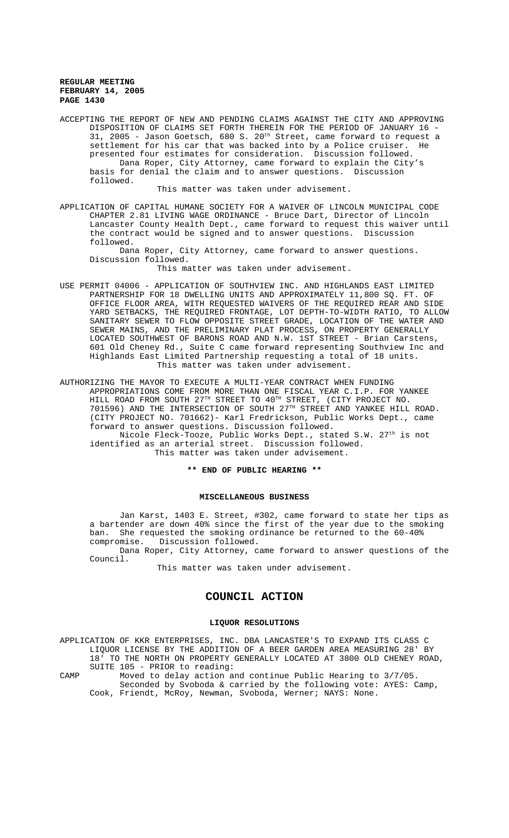ACCEPTING THE REPORT OF NEW AND PENDING CLAIMS AGAINST THE CITY AND APPROVING DISPOSITION OF CLAIMS SET FORTH THEREIN FOR THE PERIOD OF JANUARY 16 - 31, 2005 - Jason Goetsch, 680 S. 20<sup>th</sup> Street, came forward to request a settlement for his car that was backed into by a Police cruiser. He presented four estimates for consideration. Discussion followed. Dana Roper, City Attorney, came forward to explain the City's basis for denial the claim and to answer questions. Discussion followed.

This matter was taken under advisement.

APPLICATION OF CAPITAL HUMANE SOCIETY FOR A WAIVER OF LINCOLN MUNICIPAL CODE CHAPTER 2.81 LIVING WAGE ORDINANCE - Bruce Dart, Director of Lincoln Lancaster County Health Dept., came forward to request this waiver until the contract would be signed and to answer questions. Discussion followed.

Dana Roper, City Attorney, came forward to answer questions. Discussion followed.

This matter was taken under advisement.

USE PERMIT 04006 - APPLICATION OF SOUTHVIEW INC. AND HIGHLANDS EAST LIMITED PARTNERSHIP FOR 18 DWELLING UNITS AND APPROXIMATELY 11,800 SQ. FT. OF OFFICE FLOOR AREA, WITH REQUESTED WAIVERS OF THE REQUIRED REAR AND SIDE YARD SETBACKS, THE REQUIRED FRONTAGE, LOT DEPTH-TO-WIDTH RATIO, TO ALLOW SANITARY SEWER TO FLOW OPPOSITE STREET GRADE, LOCATION OF THE WATER AND SEWER MAINS, AND THE PRELIMINARY PLAT PROCESS, ON PROPERTY GENERALLY LOCATED SOUTHWEST OF BARONS ROAD AND N.W. 1ST STREET - Brian Carstens, 601 Old Cheney Rd., Suite C came forward representing Southview Inc and Highlands East Limited Partnership requesting a total of 18 units. This matter was taken under advisement.

AUTHORIZING THE MAYOR TO EXECUTE A MULTI-YEAR CONTRACT WHEN FUNDING APPROPRIATIONS COME FROM MORE THAN ONE FISCAL YEAR C.I.P. FOR YANKEE HILL ROAD FROM SOUTH 27TH STREET TO 40TH STREET, (CITY PROJECT NO. 701596) AND THE INTERSECTION OF SOUTH 27TH STREET AND YANKEE HILL ROAD. (CITY PROJECT NO. 701662)- Karl Fredrickson, Public Works Dept., came forward to answer questions. Discussion followed.

Nicole Fleck-Tooze, Public Works Dept., stated S.W. 27<sup>th</sup> is not identified as an arterial street. Discussion followed. This matter was taken under advisement.

#### **\*\* END OF PUBLIC HEARING \*\***

### **MISCELLANEOUS BUSINESS**

Jan Karst, 1403 E. Street, #302, came forward to state her tips as a bartender are down 40% since the first of the year due to the smoking ban. She requested the smoking ordinance be returned to the 60-40% compromise. Discussion followed. Discussion followed.

Dana Roper, City Attorney, came forward to answer questions of the Council.

This matter was taken under advisement.

## **COUNCIL ACTION**

#### **LIQUOR RESOLUTIONS**

APPLICATION OF KKR ENTERPRISES, INC. DBA LANCASTER'S TO EXPAND ITS CLASS C LIQUOR LICENSE BY THE ADDITION OF A BEER GARDEN AREA MEASURING 28' BY 18' TO THE NORTH ON PROPERTY GENERALLY LOCATED AT 3800 OLD CHENEY ROAD, SUITE 105 - PRIOR to reading:

CAMP Moved to delay action and continue Public Hearing to 3/7/05. Seconded by Svoboda & carried by the following vote: AYES: Camp, Cook, Friendt, McRoy, Newman, Svoboda, Werner; NAYS: None.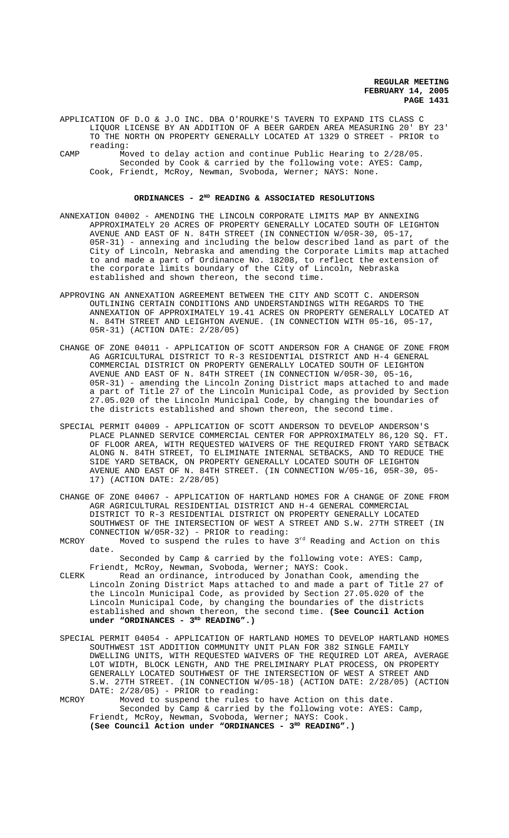APPLICATION OF D.O & J.O INC. DBA O'ROURKE'S TAVERN TO EXPAND ITS CLASS C LIQUOR LICENSE BY AN ADDITION OF A BEER GARDEN AREA MEASURING 20' BY 23' TO THE NORTH ON PROPERTY GENERALLY LOCATED AT 1329 O STREET - PRIOR to reading:

CAMP Moved to delay action and continue Public Hearing to 2/28/05. Seconded by Cook & carried by the following vote: AYES: Camp, Cook, Friendt, McRoy, Newman, Svoboda, Werner; NAYS: None.

## **ORDINANCES - 2ND READING & ASSOCIATED RESOLUTIONS**

- ANNEXATION 04002 AMENDING THE LINCOLN CORPORATE LIMITS MAP BY ANNEXING APPROXIMATELY 20 ACRES OF PROPERTY GENERALLY LOCATED SOUTH OF LEIGHTON AVENUE AND EAST OF N. 84TH STREET (IN CONNECTION W/05R-30, 05-17, 05R-31) - annexing and including the below described land as part of the City of Lincoln, Nebraska and amending the Corporate Limits map attached to and made a part of Ordinance No. 18208, to reflect the extension of the corporate limits boundary of the City of Lincoln, Nebraska established and shown thereon, the second time.
- APPROVING AN ANNEXATION AGREEMENT BETWEEN THE CITY AND SCOTT C. ANDERSON OUTLINING CERTAIN CONDITIONS AND UNDERSTANDINGS WITH REGARDS TO THE ANNEXATION OF APPROXIMATELY 19.41 ACRES ON PROPERTY GENERALLY LOCATED AT N. 84TH STREET AND LEIGHTON AVENUE. (IN CONNECTION WITH 05-16, 05-17, 05R-31) (ACTION DATE: 2/28/05)
- CHANGE OF ZONE 04011 APPLICATION OF SCOTT ANDERSON FOR A CHANGE OF ZONE FROM AG AGRICULTURAL DISTRICT TO R-3 RESIDENTIAL DISTRICT AND H-4 GENERAL COMMERCIAL DISTRICT ON PROPERTY GENERALLY LOCATED SOUTH OF LEIGHTON AVENUE AND EAST OF N. 84TH STREET (IN CONNECTION W/05R-30, 05-16, 05R-31) - amending the Lincoln Zoning District maps attached to and made a part of Title 27 of the Lincoln Municipal Code, as provided by Section 27.05.020 of the Lincoln Municipal Code, by changing the boundaries of the districts established and shown thereon, the second time.
- SPECIAL PERMIT 04009 APPLICATION OF SCOTT ANDERSON TO DEVELOP ANDERSON'S PLACE PLANNED SERVICE COMMERCIAL CENTER FOR APPROXIMATELY 86,120 SQ. FT. OF FLOOR AREA, WITH REQUESTED WAIVERS OF THE REQUIRED FRONT YARD SETBACK ALONG N. 84TH STREET, TO ELIMINATE INTERNAL SETBACKS, AND TO REDUCE THE SIDE YARD SETBACK, ON PROPERTY GENERALLY LOCATED SOUTH OF LEIGHTON AVENUE AND EAST OF N. 84TH STREET. (IN CONNECTION W/05-16, 05R-30, 05- 17) (ACTION DATE: 2/28/05)
- CHANGE OF ZONE 04067 APPLICATION OF HARTLAND HOMES FOR A CHANGE OF ZONE FROM AGR AGRICULTURAL RESIDENTIAL DISTRICT AND H-4 GENERAL COMMERCIAL DISTRICT TO R-3 RESIDENTIAL DISTRICT ON PROPERTY GENERALLY LOCATED SOUTHWEST OF THE INTERSECTION OF WEST A STREET AND S.W. 27TH STREET (IN CONNECTION W/05R-32) - PRIOR to reading:
- MCROY Moved to suspend the rules to have  $3<sup>rd</sup>$  Reading and Action on this date.

Seconded by Camp & carried by the following vote: AYES: Camp, Friendt, McRoy, Newman, Svoboda, Werner; NAYS: Cook.

- CLERK Read an ordinance, introduced by Jonathan Cook, amending the Lincoln Zoning District Maps attached to and made a part of Title 27 of the Lincoln Municipal Code, as provided by Section 27.05.020 of the Lincoln Municipal Code, by changing the boundaries of the districts established and shown thereon, the second time. **(See Council Action** under "ORDINANCES - 3<sup>RD</sup> READING".)
- SPECIAL PERMIT 04054 APPLICATION OF HARTLAND HOMES TO DEVELOP HARTLAND HOMES SOUTHWEST 1ST ADDITION COMMUNITY UNIT PLAN FOR 382 SINGLE FAMILY DWELLING UNITS, WITH REQUESTED WAIVERS OF THE REQUIRED LOT AREA, AVERAGE LOT WIDTH, BLOCK LENGTH, AND THE PRELIMINARY PLAT PROCESS, ON PROPERTY GENERALLY LOCATED SOUTHWEST OF THE INTERSECTION OF WEST A STREET AND S.W. 27TH STREET. (IN CONNECTION W/05-18) (ACTION DATE: 2/28/05) (ACTION DATE: 2/28/05) - PRIOR to reading:

MCROY Moved to suspend the rules to have Action on this date. Seconded by Camp & carried by the following vote: AYES: Camp, Friendt, McRoy, Newman, Svoboda, Werner; NAYS: Cook. (See Council Action under "ORDINANCES - 3<sup>RD</sup> READING".)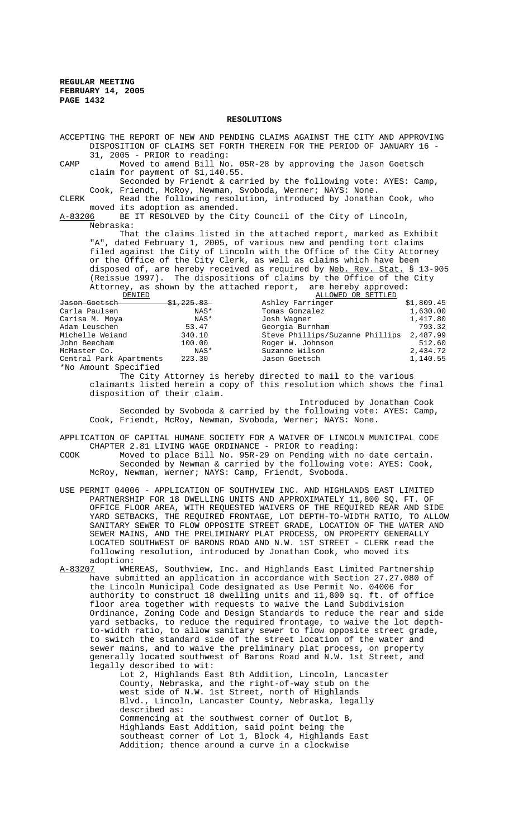#### **RESOLUTIONS**

ACCEPTING THE REPORT OF NEW AND PENDING CLAIMS AGAINST THE CITY AND APPROVING DISPOSITION OF CLAIMS SET FORTH THEREIN FOR THE PERIOD OF JANUARY 16 - 31, 2005 - PRIOR to reading: CAMP Moved to amend Bill No. 05R-28 by approving the Jason Goetsch claim for payment of \$1,140.55. Seconded by Friendt & carried by the following vote: AYES: Camp, Cook, Friendt, McRoy, Newman, Svoboda, Werner; NAYS: None. CLERK Read the following resolution, introduced by Jonathan Cook, who moved its adoption as amended. A-83206 BE IT RESOLVED by the City Council of the City of Lincoln, Nebraska: That the claims listed in the attached report, marked as Exhibit "A", dated February 1, 2005, of various new and pending tort claims filed against the City of Lincoln with the Office of the City Attorney or the Office of the City Clerk, as well as claims which have been disposed of, are hereby received as required by <u>Neb. Rev. Stat.</u> § 13-905 (Reissue 1997). The dispositions of claims by the Office of the City Attorney, as shown by the attached report, are hereby approved:<br>BENIED BENIED <u>DENIED</u><br>Goetsch 31.225.83 Ashley Farringer J<del>ason Goetsch \$1,225.83 </del> Ashley Farringer \$1,809.45 Carla Paulsen NAS\* Tomas Gonzalez 1,630.00 Carisa M. Moya NAS\* Josh Wagner 1,417.80 Adam Leuschen 53.47 Georgia Burnham 793.32 Michelle Weiand 340.10 Steve Phillips/Suzanne Phillips 2,487.99 John Beecham 100.00 Roger W. Johnson 512.60 Suzanne Wilson 2,434.72<br>Jason Goetsch 1.140.55 Central Park Apartments 223.30 Jason Goetsch \*No Amount Specified The City Attorney is hereby directed to mail to the various claimants listed herein a copy of this resolution which shows the final disposition of their claim. Introduced by Jonathan Cook Seconded by Svoboda & carried by the following vote: AYES: Camp, Cook, Friendt, McRoy, Newman, Svoboda, Werner; NAYS: None. APPLICATION OF CAPITAL HUMANE SOCIETY FOR A WAIVER OF LINCOLN MUNICIPAL CODE

- CHAPTER 2.81 LIVING WAGE ORDINANCE PRIOR to reading: COOK Moved to place Bill No. 95R-29 on Pending with no date certain. Seconded by Newman & carried by the following vote: AYES: Cook, McRoy, Newman, Werner; NAYS: Camp, Friendt, Svoboda.
- USE PERMIT 04006 APPLICATION OF SOUTHVIEW INC. AND HIGHLANDS EAST LIMITED PARTNERSHIP FOR 18 DWELLING UNITS AND APPROXIMATELY 11,800 SQ. FT. OF OFFICE FLOOR AREA, WITH REQUESTED WAIVERS OF THE REQUIRED REAR AND SIDE YARD SETBACKS, THE REQUIRED FRONTAGE, LOT DEPTH-TO-WIDTH RATIO, TO ALLOW SANITARY SEWER TO FLOW OPPOSITE STREET GRADE, LOCATION OF THE WATER AND SEWER MAINS, AND THE PRELIMINARY PLAT PROCESS, ON PROPERTY GENERALLY LOCATED SOUTHWEST OF BARONS ROAD AND N.W. 1ST STREET - CLERK read the following resolution, introduced by Jonathan Cook, who moved its adoption:<br>A-83207 WHE
- WHEREAS, Southview, Inc. and Highlands East Limited Partnership have submitted an application in accordance with Section 27.27.080 of the Lincoln Municipal Code designated as Use Permit No. 04006 for authority to construct 18 dwelling units and 11,800 sq. ft. of office floor area together with requests to waive the Land Subdivision Ordinance, Zoning Code and Design Standards to reduce the rear and side yard setbacks, to reduce the required frontage, to waive the lot depthto-width ratio, to allow sanitary sewer to flow opposite street grade, to switch the standard side of the street location of the water and sewer mains, and to waive the preliminary plat process, on property generally located southwest of Barons Road and N.W. 1st Street, and legally described to wit:

Lot 2, Highlands East 8th Addition, Lincoln, Lancaster County, Nebraska, and the right-of-way stub on the west side of N.W. 1st Street, north of Highlands Blvd., Lincoln, Lancaster County, Nebraska, legally described as: Commencing at the southwest corner of Outlot B, Highlands East Addition, said point being the southeast corner of Lot 1, Block 4, Highlands East Addition; thence around a curve in a clockwise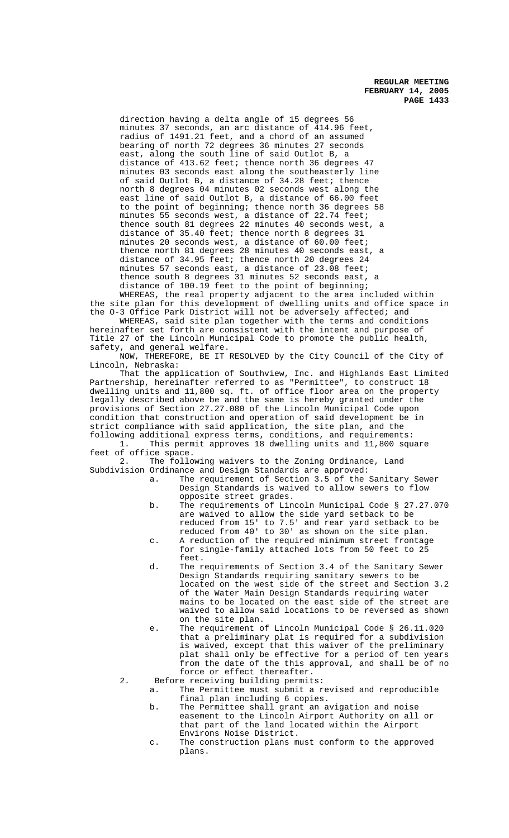direction having a delta angle of 15 degrees 56 minutes 37 seconds, an arc distance of 414.96 feet, radius of 1491.21 feet, and a chord of an assumed bearing of north 72 degrees 36 minutes 27 seconds east, along the south line of said Outlot B, a distance of 413.62 feet; thence north 36 degrees 47 minutes 03 seconds east along the southeasterly line of said Outlot B, a distance of 34.28 feet; thence north 8 degrees 04 minutes 02 seconds west along the east line of said Outlot B, a distance of 66.00 feet to the point of beginning; thence north 36 degrees 58 minutes 55 seconds west, a distance of 22.74 feet; thence south 81 degrees 22 minutes 40 seconds west, a distance of 35.40 feet; thence north 8 degrees 31 minutes 20 seconds west, a distance of 60.00 feet; thence north 81 degrees 28 minutes 40 seconds east, a distance of 34.95 feet; thence north 20 degrees 24 minutes 57 seconds east, a distance of 23.08 feet; thence south 8 degrees 31 minutes 52 seconds east, a distance of 100.19 feet to the point of beginning; WHEREAS, the real property adjacent to the area included within

the site plan for this development of dwelling units and office space in the 0-3 Office Park District will not be adversely affected; and

WHEREAS, said site plan together with the terms and conditions hereinafter set forth are consistent with the intent and purpose of Title 27 of the Lincoln Municipal Code to promote the public health, safety, and general welfare.

NOW, THEREFORE, BE IT RESOLVED by the City Council of the City of Lincoln, Nebraska:

That the application of Southview, Inc. and Highlands East Limited Partnership, hereinafter referred to as "Permittee", to construct 18 dwelling units and 11,800 sq. ft. of office floor area on the property legally described above be and the same is hereby granted under the provisions of Section 27.27.080 of the Lincoln Municipal Code upon condition that construction and operation of said development be in strict compliance with said application, the site plan, and the following additional express terms, conditions, and requirements:

This permit approves 18 dwelling units and 11,800 square feet of office space.<br>2 The follo

The following waivers to the Zoning Ordinance, Land Subdivision Ordinance and Design Standards are approved:

- a. The requirement of Section 3.5 of the Sanitary Sewer Design Standards is waived to allow sewers to flow opposite street grades.
- b. The requirements of Lincoln Municipal Code § 27.27.070 are waived to allow the side yard setback to be reduced from 15' to 7.5' and rear yard setback to be reduced from 40' to 30' as shown on the site plan.
- c. A reduction of the required minimum street frontage for single-family attached lots from 50 feet to 25 feet.
- d. The requirements of Section 3.4 of the Sanitary Sewer Design Standards requiring sanitary sewers to be located on the west side of the street and Section 3.2 of the Water Main Design Standards requiring water mains to be located on the east side of the street are waived to allow said locations to be reversed as shown on the site plan.
- e. The requirement of Lincoln Municipal Code § 26.11.020 that a preliminary plat is required for a subdivision is waived, except that this waiver of the preliminary plat shall only be effective for a period of ten years from the date of the this approval, and shall be of no force or effect thereafter.
- 2. Before receiving building permits:

a. The Permittee must submit a revised and reproducible final plan including 6 copies.

- b. The Permittee shall grant an avigation and noise easement to the Lincoln Airport Authority on all or that part of the land located within the Airport Environs Noise District.
- c. The construction plans must conform to the approved plans.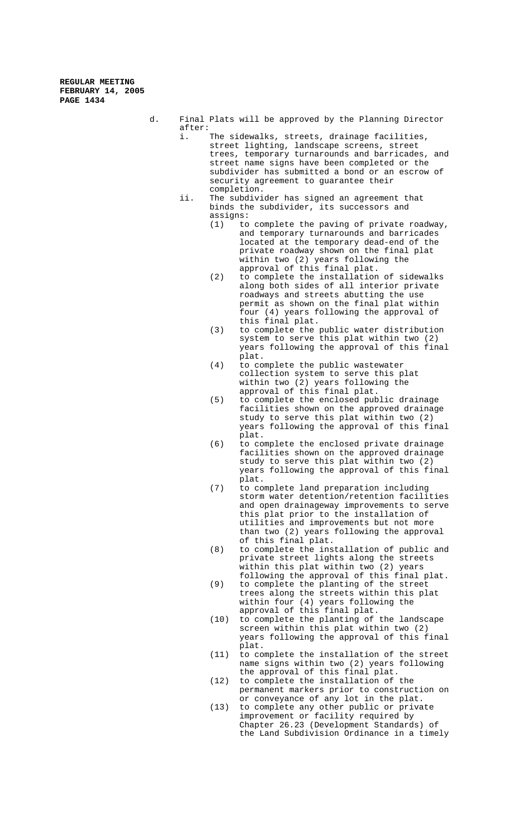- d. Final Plats will be approved by the Planning Director after:<br>i.
	- The sidewalks, streets, drainage facilities, street lighting, landscape screens, street trees, temporary turnarounds and barricades, and street name signs have been completed or the subdivider has submitted a bond or an escrow of security agreement to guarantee their completion.
		- ii. The subdivider has signed an agreement that binds the subdivider, its successors and assigns:
			- (1) to complete the paving of private roadway, and temporary turnarounds and barricades located at the temporary dead-end of the private roadway shown on the final plat within two (2) years following the approval of this final plat.
			- (2) to complete the installation of sidewalks along both sides of all interior private roadways and streets abutting the use permit as shown on the final plat within four (4) years following the approval of this final plat.
			- (3) to complete the public water distribution system to serve this plat within two (2) years following the approval of this final plat.
			- (4) to complete the public wastewater collection system to serve this plat within two (2) years following the approval of this final plat.
			- (5) to complete the enclosed public drainage facilities shown on the approved drainage study to serve this plat within two (2) years following the approval of this final plat.
			- (6) to complete the enclosed private drainage facilities shown on the approved drainage study to serve this plat within two (2) years following the approval of this final plat.
			- (7) to complete land preparation including storm water detention/retention facilities and open drainageway improvements to serve this plat prior to the installation of utilities and improvements but not more than two (2) years following the approval of this final plat.
			- (8) to complete the installation of public and private street lights along the streets within this plat within two (2) years following the approval of this final plat.
			- (9) to complete the planting of the street trees along the streets within this plat within four (4) years following the approval of this final plat.
			- (10) to complete the planting of the landscape screen within this plat within two (2) years following the approval of this final plat.
			- (11) to complete the installation of the street name signs within two (2) years following the approval of this final plat.
			- (12) to complete the installation of the permanent markers prior to construction on or conveyance of any lot in the plat.
			- (13) to complete any other public or private improvement or facility required by Chapter 26.23 (Development Standards) of the Land Subdivision Ordinance in a timely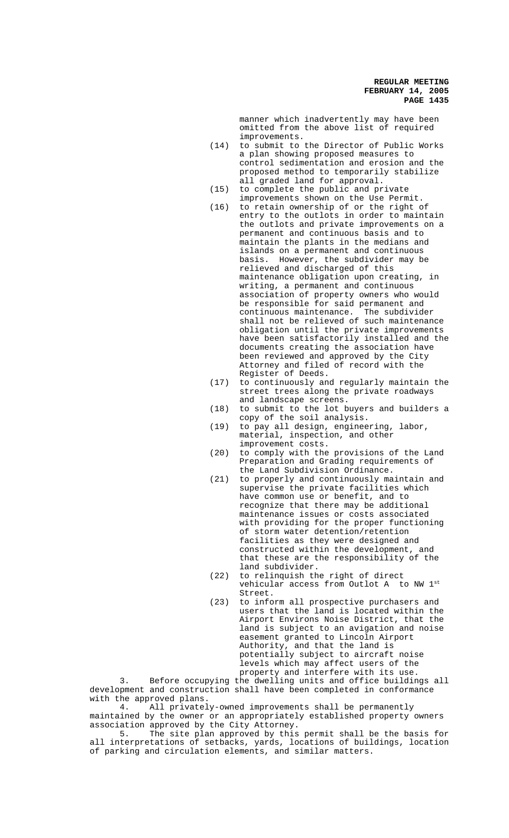manner which inadvertently may have been omitted from the above list of required improvements.

- (14) to submit to the Director of Public Works a plan showing proposed measures to control sedimentation and erosion and the proposed method to temporarily stabilize all graded land for approval.
- (15) to complete the public and private improvements shown on the Use Permit.
- (16) to retain ownership of or the right of entry to the outlots in order to maintain the outlots and private improvements on a permanent and continuous basis and to maintain the plants in the medians and islands on a permanent and continuous basis. However, the subdivider may be relieved and discharged of this maintenance obligation upon creating, in writing, a permanent and continuous association of property owners who would be responsible for said permanent and continuous maintenance. The subdivider shall not be relieved of such maintenance obligation until the private improvements have been satisfactorily installed and the documents creating the association have been reviewed and approved by the City Attorney and filed of record with the Register of Deeds.
- (17) to continuously and regularly maintain the street trees along the private roadways and landscape screens.
- (18) to submit to the lot buyers and builders a copy of the soil analysis.
- (19) to pay all design, engineering, labor, material, inspection, and other improvement costs.
- (20) to comply with the provisions of the Land Preparation and Grading requirements of the Land Subdivision Ordinance.
- (21) to properly and continuously maintain and supervise the private facilities which have common use or benefit, and to recognize that there may be additional maintenance issues or costs associated with providing for the proper functioning of storm water detention/retention facilities as they were designed and constructed within the development, and that these are the responsibility of the land subdivider.
- (22) to relinquish the right of direct vehicular access from Outlot A to NW 1st Street.
- (23) to inform all prospective purchasers and users that the land is located within the Airport Environs Noise District, that the land is subject to an avigation and noise easement granted to Lincoln Airport Authority, and that the land is potentially subject to aircraft noise levels which may affect users of the property and interfere with its use.

3. Before occupying the dwelling units and office buildings all development and construction shall have been completed in conformance with the approved plans.

4. All privately-owned improvements shall be permanently maintained by the owner or an appropriately established property owners association approved by the City Attorney.<br>5. The site plan approved by this

The site plan approved by this permit shall be the basis for all interpretations of setbacks, yards, locations of buildings, location of parking and circulation elements, and similar matters.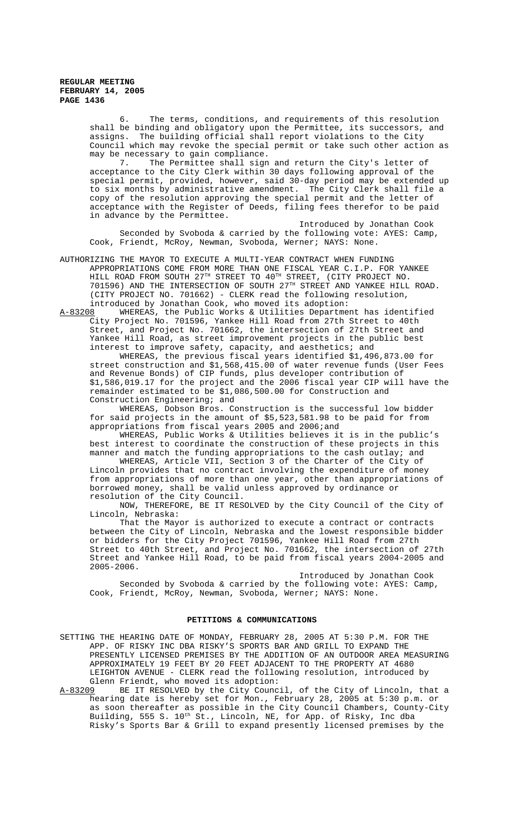6. The terms, conditions, and requirements of this resolution shall be binding and obligatory upon the Permittee, its successors, and assigns. The building official shall report violations to the City Council which may revoke the special permit or take such other action as may be necessary to gain compliance.

7. The Permittee shall sign and return the City's letter of acceptance to the City Clerk within 30 days following approval of the special permit, provided, however, said 30-day period may be extended up to six months by administrative amendment. The City Clerk shall file a copy of the resolution approving the special permit and the letter of acceptance with the Register of Deeds, filing fees therefor to be paid in advance by the Permittee.

Introduced by Jonathan Cook Seconded by Svoboda & carried by the following vote: AYES: Camp, Cook, Friendt, McRoy, Newman, Svoboda, Werner; NAYS: None.

AUTHORIZING THE MAYOR TO EXECUTE A MULTI-YEAR CONTRACT WHEN FUNDING APPROPRIATIONS COME FROM MORE THAN ONE FISCAL YEAR C.I.P. FOR YANKEE HILL ROAD FROM SOUTH  $27^{\text{TH}}$  STREET TO  $40^{\text{TH}}$  STREET, (CITY PROJECT NO. 701596) AND THE INTERSECTION OF SOUTH 27TH STREET AND YANKEE HILL ROAD. (CITY PROJECT NO. 701662) - CLERK read the following resolution, introduced by Jonathan Cook, who moved its adoption:<br>A-83208 WHEREAS, the Public Works & Utilities Departme

WHEREAS, the Public Works & Utilities Department has identified City Project No. 701596, Yankee Hill Road from 27th Street to 40th Street, and Project No. 701662, the intersection of 27th Street and Yankee Hill Road, as street improvement projects in the public best interest to improve safety, capacity, and aesthetics; and

WHEREAS, the previous fiscal years identified \$1,496,873.00 for street construction and \$1,568,415.00 of water revenue funds (User Fees and Revenue Bonds) of CIP funds, plus developer contribution of \$1,586,019.17 for the project and the 2006 fiscal year CIP will have the remainder estimated to be \$1,086,500.00 for Construction and Construction Engineering; and

WHEREAS, Dobson Bros. Construction is the successful low bidder for said projects in the amount of \$5,523,581.98 to be paid for from appropriations from fiscal years 2005 and 2006;and

WHEREAS, Public Works & Utilities believes it is in the public's best interest to coordinate the construction of these projects in this manner and match the funding appropriations to the cash outlay; and

WHEREAS, Article VII, Section 3 of the Charter of the City of Lincoln provides that no contract involving the expenditure of money from appropriations of more than one year, other than appropriations of borrowed money, shall be valid unless approved by ordinance or resolution of the City Council.

NOW, THEREFORE, BE IT RESOLVED by the City Council of the City of Lincoln, Nebraska:

That the Mayor is authorized to execute a contract or contracts between the City of Lincoln, Nebraska and the lowest responsible bidder or bidders for the City Project 701596, Yankee Hill Road from 27th Street to 40th Street, and Project No. 701662, the intersection of 27th Street and Yankee Hill Road, to be paid from fiscal years 2004-2005 and 2005-2006.

Introduced by Jonathan Cook Seconded by Svoboda & carried by the following vote: AYES: Camp, Cook, Friendt, McRoy, Newman, Svoboda, Werner; NAYS: None.

## **PETITIONS & COMMUNICATIONS**

SETTING THE HEARING DATE OF MONDAY, FEBRUARY 28, 2005 AT 5:30 P.M. FOR THE APP. OF RISKY INC DBA RISKY'S SPORTS BAR AND GRILL TO EXPAND THE PRESENTLY LICENSED PREMISES BY THE ADDITION OF AN OUTDOOR AREA MEASURING APPROXIMATELY 19 FEET BY 20 FEET ADJACENT TO THE PROPERTY AT 4680 LEIGHTON AVENUE - CLERK read the following resolution, introduced by Glenn Friendt, who moved its adoption:<br>A-83209 BE IT RESOLVED by the City Counc

BE IT RESOLVED by the City Council, of the City of Lincoln, that a hearing date is hereby set for Mon., February 28, 2005 at 5:30 p.m. or as soon thereafter as possible in the City Council Chambers, County-City Building, 555 S. 10<sup>th</sup> St., Lincoln, NE, for App. of Risky, Inc dba Risky's Sports Bar & Grill to expand presently licensed premises by the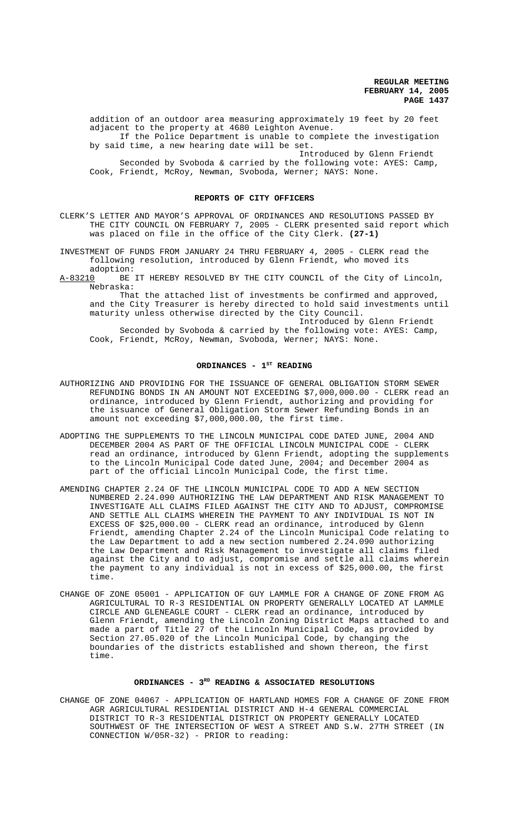addition of an outdoor area measuring approximately 19 feet by 20 feet adjacent to the property at 4680 Leighton Avenue.

If the Police Department is unable to complete the investigation by said time, a new hearing date will be set.

Introduced by Glenn Friendt Seconded by Svoboda & carried by the following vote: AYES: Camp, Cook, Friendt, McRoy, Newman, Svoboda, Werner; NAYS: None.

#### **REPORTS OF CITY OFFICERS**

CLERK'S LETTER AND MAYOR'S APPROVAL OF ORDINANCES AND RESOLUTIONS PASSED BY THE CITY COUNCIL ON FEBRUARY 7, 2005 - CLERK presented said report which was placed on file in the office of the City Clerk. **(27-1)**

INVESTMENT OF FUNDS FROM JANUARY 24 THRU FEBRUARY 4, 2005 - CLERK read the following resolution, introduced by Glenn Friendt, who moved its adoption:

A-83210 BE IT HEREBY RESOLVED BY THE CITY COUNCIL of the City of Lincoln, Nebraska:

That the attached list of investments be confirmed and approved, and the City Treasurer is hereby directed to hold said investments until maturity unless otherwise directed by the City Council.

Introduced by Glenn Friendt Seconded by Svoboda & carried by the following vote: AYES: Camp, Cook, Friendt, McRoy, Newman, Svoboda, Werner; NAYS: None.

#### ORDINANCES - 1<sup>ST</sup> READING

- AUTHORIZING AND PROVIDING FOR THE ISSUANCE OF GENERAL OBLIGATION STORM SEWER REFUNDING BONDS IN AN AMOUNT NOT EXCEEDING \$7,000,000.00 - CLERK read an ordinance, introduced by Glenn Friendt, authorizing and providing for the issuance of General Obligation Storm Sewer Refunding Bonds in an amount not exceeding \$7,000,000.00, the first time.
- ADOPTING THE SUPPLEMENTS TO THE LINCOLN MUNICIPAL CODE DATED JUNE, 2004 AND DECEMBER 2004 AS PART OF THE OFFICIAL LINCOLN MUNICIPAL CODE - CLERK read an ordinance, introduced by Glenn Friendt, adopting the supplements to the Lincoln Municipal Code dated June, 2004; and December 2004 as part of the official Lincoln Municipal Code, the first time.
- AMENDING CHAPTER 2.24 OF THE LINCOLN MUNICIPAL CODE TO ADD A NEW SECTION NUMBERED 2.24.090 AUTHORIZING THE LAW DEPARTMENT AND RISK MANAGEMENT TO INVESTIGATE ALL CLAIMS FILED AGAINST THE CITY AND TO ADJUST, COMPROMISE AND SETTLE ALL CLAIMS WHEREIN THE PAYMENT TO ANY INDIVIDUAL IS NOT IN EXCESS OF \$25,000.00 - CLERK read an ordinance, introduced by Glenn Friendt, amending Chapter 2.24 of the Lincoln Municipal Code relating to the Law Department to add a new section numbered 2.24.090 authorizing the Law Department and Risk Management to investigate all claims filed against the City and to adjust, compromise and settle all claims wherein the payment to any individual is not in excess of \$25,000.00, the first time.
- CHANGE OF ZONE 05001 APPLICATION OF GUY LAMMLE FOR A CHANGE OF ZONE FROM AG AGRICULTURAL TO R-3 RESIDENTIAL ON PROPERTY GENERALLY LOCATED AT LAMMLE CIRCLE AND GLENEAGLE COURT - CLERK read an ordinance, introduced by Glenn Friendt, amending the Lincoln Zoning District Maps attached to and made a part of Title 27 of the Lincoln Municipal Code, as provided by Section 27.05.020 of the Lincoln Municipal Code, by changing the boundaries of the districts established and shown thereon, the first time.

## **ORDINANCES - 3RD READING & ASSOCIATED RESOLUTIONS**

CHANGE OF ZONE 04067 - APPLICATION OF HARTLAND HOMES FOR A CHANGE OF ZONE FROM AGR AGRICULTURAL RESIDENTIAL DISTRICT AND H-4 GENERAL COMMERCIAL DISTRICT TO R-3 RESIDENTIAL DISTRICT ON PROPERTY GENERALLY LOCATED SOUTHWEST OF THE INTERSECTION OF WEST A STREET AND S.W. 27TH STREET (IN CONNECTION W/05R-32) - PRIOR to reading: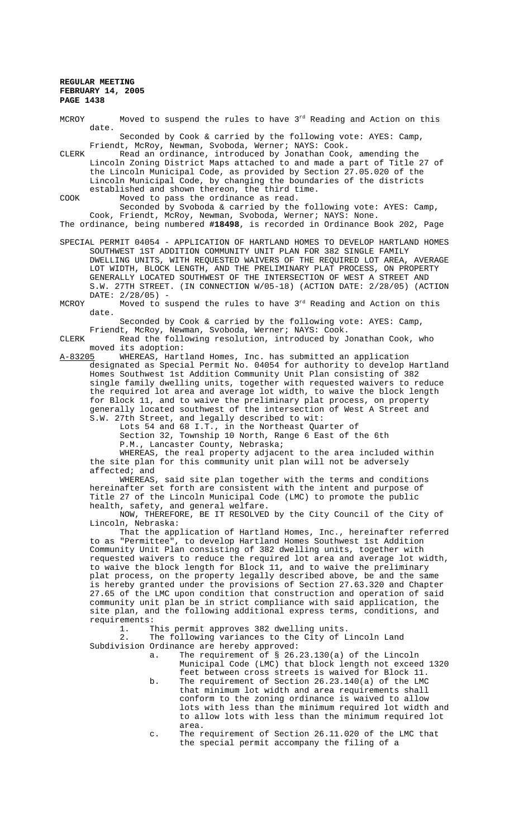MCROY Moved to suspend the rules to have  $3<sup>rd</sup>$  Reading and Action on this date.

Seconded by Cook & carried by the following vote: AYES: Camp, Friendt, McRoy, Newman, Svoboda, Werner; NAYS: Cook.

CLERK Read an ordinance, introduced by Jonathan Cook, amending the Lincoln Zoning District Maps attached to and made a part of Title 27 of the Lincoln Municipal Code, as provided by Section 27.05.020 of the Lincoln Municipal Code, by changing the boundaries of the districts established and shown thereon, the third time.

COOK Moved to pass the ordinance as read.

Seconded by Svoboda & carried by the following vote: AYES: Camp, Cook, Friendt, McRoy, Newman, Svoboda, Werner; NAYS: None.

The ordinance, being numbered **#18498**, is recorded in Ordinance Book 202, Page

SPECIAL PERMIT 04054 - APPLICATION OF HARTLAND HOMES TO DEVELOP HARTLAND HOMES SOUTHWEST 1ST ADDITION COMMUNITY UNIT PLAN FOR 382 SINGLE FAMILY DWELLING UNITS, WITH REQUESTED WAIVERS OF THE REQUIRED LOT AREA, AVERAGE LOT WIDTH, BLOCK LENGTH, AND THE PRELIMINARY PLAT PROCESS, ON PROPERTY GENERALLY LOCATED SOUTHWEST OF THE INTERSECTION OF WEST A STREET AND S.W. 27TH STREET. (IN CONNECTION W/05-18) (ACTION DATE: 2/28/05) (ACTION DATE: 2/28/05) -

MCROY Moved to suspend the rules to have  $3<sup>rd</sup>$  Reading and Action on this date.

Seconded by Cook & carried by the following vote: AYES: Camp, Friendt, McRoy, Newman, Svoboda, Werner; NAYS: Cook.

CLERK Read the following resolution, introduced by Jonathan Cook, who moved its adoption:<br>A-83205 WHEREAS, Hart

WHEREAS, Hartland Homes, Inc. has submitted an application designated as Special Permit No. 04054 for authority to develop Hartland Homes Southwest 1st Addition Community Unit Plan consisting of 382 single family dwelling units, together with requested waivers to reduce the required lot area and average lot width, to waive the block length for Block 11, and to waive the preliminary plat process, on property generally located southwest of the intersection of West A Street and S.W. 27th Street, and legally described to wit:

Lots 54 and 68 I.T., in the Northeast Quarter of

Section 32, Township 10 North, Range 6 East of the 6th P.M., Lancaster County, Nebraska;

WHEREAS, the real property adjacent to the area included within the site plan for this community unit plan will not be adversely affected; and

WHEREAS, said site plan together with the terms and conditions hereinafter set forth are consistent with the intent and purpose of Title 27 of the Lincoln Municipal Code (LMC) to promote the public health, safety, and general welfare.

NOW, THEREFORE, BE IT RESOLVED by the City Council of the City of Lincoln, Nebraska:

That the application of Hartland Homes, Inc., hereinafter referred to as "Permittee", to develop Hartland Homes Southwest 1st Addition Community Unit Plan consisting of 382 dwelling units, together with requested waivers to reduce the required lot area and average lot width, to waive the block length for Block 11, and to waive the preliminary plat process, on the property legally described above, be and the same is hereby granted under the provisions of Section 27.63.320 and Chapter 27.65 of the LMC upon condition that construction and operation of said community unit plan be in strict compliance with said application, the site plan, and the following additional express terms, conditions, and requirements:

1. This permit approves 382 dwelling units.<br>2. The following variances to the City of I

The following variances to the City of Lincoln Land Subdivision Ordinance are hereby approved:

- a. The requirement of § 26.23.130(a) of the Lincoln Municipal Code (LMC) that block length not exceed 1320 feet between cross streets is waived for Block 11.
- b. The requirement of Section 26.23.140(a) of the LMC that minimum lot width and area requirements shall conform to the zoning ordinance is waived to allow lots with less than the minimum required lot width and to allow lots with less than the minimum required lot area.
- c. The requirement of Section 26.11.020 of the LMC that the special permit accompany the filing of a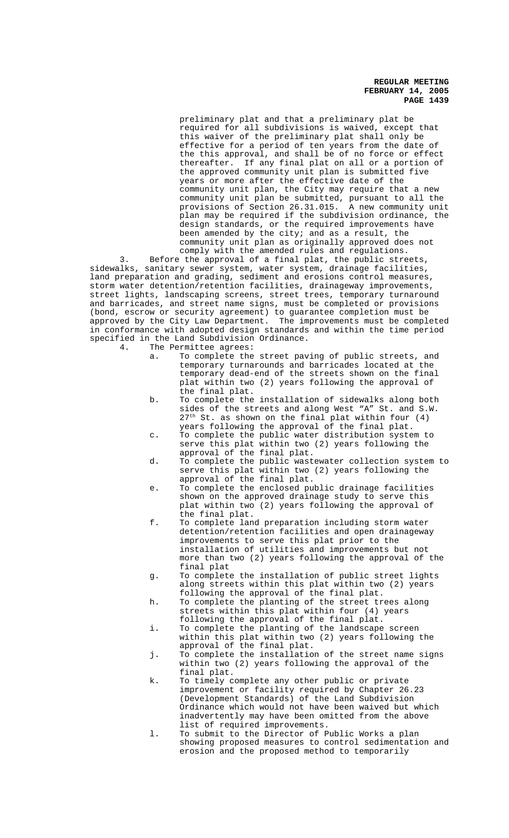preliminary plat and that a preliminary plat be required for all subdivisions is waived, except that this waiver of the preliminary plat shall only be effective for a period of ten years from the date of the this approval, and shall be of no force or effect thereafter. If any final plat on all or a portion of the approved community unit plan is submitted five years or more after the effective date of the community unit plan, the City may require that a new community unit plan be submitted, pursuant to all the provisions of Section 26.31.015. A new community unit plan may be required if the subdivision ordinance, the design standards, or the required improvements have been amended by the city; and as a result, the community unit plan as originally approved does not comply with the amended rules and regulations.

3. Before the approval of a final plat, the public streets, sidewalks, sanitary sewer system, water system, drainage facilities, land preparation and grading, sediment and erosions control measures, storm water detention/retention facilities, drainageway improvements, street lights, landscaping screens, street trees, temporary turnaround and barricades, and street name signs, must be completed or provisions (bond, escrow or security agreement) to guarantee completion must be approved by the City Law Department. The improvements must be completed in conformance with adopted design standards and within the time period specified in the Land Subdivision Ordinance.

4. The Permittee agrees:

- a. To complete the street paving of public streets, and temporary turnarounds and barricades located at the temporary dead-end of the streets shown on the final plat within two (2) years following the approval of the final plat.
- b. To complete the installation of sidewalks along both sides of the streets and along West "A" St. and S.W.  $27<sup>th</sup>$  St. as shown on the final plat within four (4) years following the approval of the final plat.
- c. To complete the public water distribution system to serve this plat within two (2) years following the approval of the final plat.
- d. To complete the public wastewater collection system to serve this plat within two (2) years following the approval of the final plat.
- e. To complete the enclosed public drainage facilities shown on the approved drainage study to serve this plat within two (2) years following the approval of the final plat.
- f. To complete land preparation including storm water detention/retention facilities and open drainageway improvements to serve this plat prior to the installation of utilities and improvements but not more than two (2) years following the approval of the final plat
- g. To complete the installation of public street lights along streets within this plat within two (2) years following the approval of the final plat.
- h. To complete the planting of the street trees along streets within this plat within four (4) years following the approval of the final plat.
- i. To complete the planting of the landscape screen within this plat within two (2) years following the approval of the final plat.
- j. To complete the installation of the street name signs within two (2) years following the approval of the final plat.
- k. To timely complete any other public or private improvement or facility required by Chapter 26.23 (Development Standards) of the Land Subdivision Ordinance which would not have been waived but which inadvertently may have been omitted from the above list of required improvements.
- l. To submit to the Director of Public Works a plan showing proposed measures to control sedimentation and erosion and the proposed method to temporarily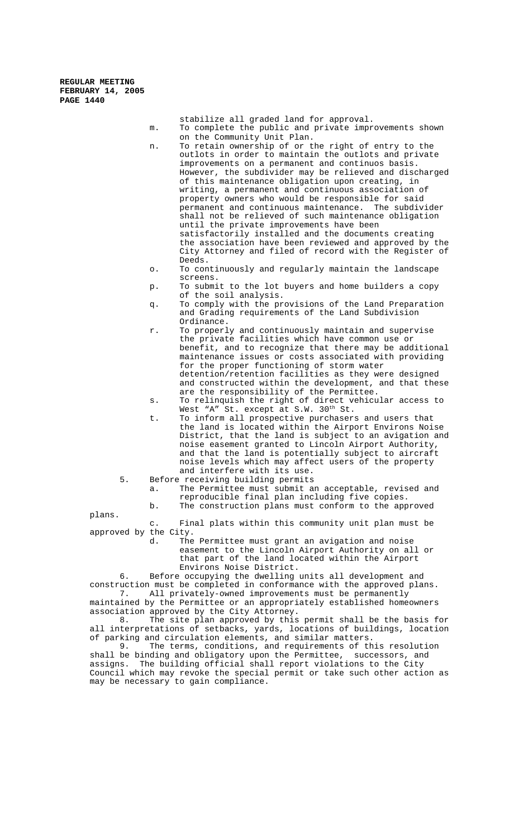- stabilize all graded land for approval. m. To complete the public and private improvements shown on the Community Unit Plan. n. To retain ownership of or the right of entry to the outlots in order to maintain the outlots and private improvements on a permanent and continuos basis. However, the subdivider may be relieved and discharged of this maintenance obligation upon creating, in writing, a permanent and continuous association of property owners who would be responsible for said permanent and continuous maintenance. The subdivider shall not be relieved of such maintenance obligation until the private improvements have been satisfactorily installed and the documents creating the association have been reviewed and approved by the City Attorney and filed of record with the Register of Deeds.
- o. To continuously and regularly maintain the landscape screens.
- p. To submit to the lot buyers and home builders a copy of the soil analysis.
- q. To comply with the provisions of the Land Preparation and Grading requirements of the Land Subdivision Ordinance.
- r. To properly and continuously maintain and supervise the private facilities which have common use or benefit, and to recognize that there may be additional maintenance issues or costs associated with providing for the proper functioning of storm water detention/retention facilities as they were designed and constructed within the development, and that these are the responsibility of the Permittee.
- s. To relinquish the right of direct vehicular access to West "A" St. except at S.W. 30th St.
- t. To inform all prospective purchasers and users that the land is located within the Airport Environs Noise District, that the land is subject to an avigation and noise easement granted to Lincoln Airport Authority, and that the land is potentially subject to aircraft noise levels which may affect users of the property and interfere with its use.
- 5. Before receiving building permits
	- a. The Permittee must submit an acceptable, revised and reproducible final plan including five copies. b. The construction plans must conform to the approved

plans.

c. Final plats within this community unit plan must be approved by the City.<br>d. The

The Permittee must grant an avigation and noise easement to the Lincoln Airport Authority on all or that part of the land located within the Airport Environs Noise District.

6. Before occupying the dwelling units all development and construction must be completed in conformance with the approved plans.<br>7. All privately-owned improvements must be permanently All privately-owned improvements must be permanently

maintained by the Permittee or an appropriately established homeowners association approved by the City Attorney.

8. The site plan approved by this permit shall be the basis for all interpretations of setbacks, yards, locations of buildings, location of parking and circulation elements, and similar matters.

9. The terms, conditions, and requirements of this resolution shall be binding and obligatory upon the Permittee, successors, and assigns. The building official shall report violations to the City Council which may revoke the special permit or take such other action as may be necessary to gain compliance.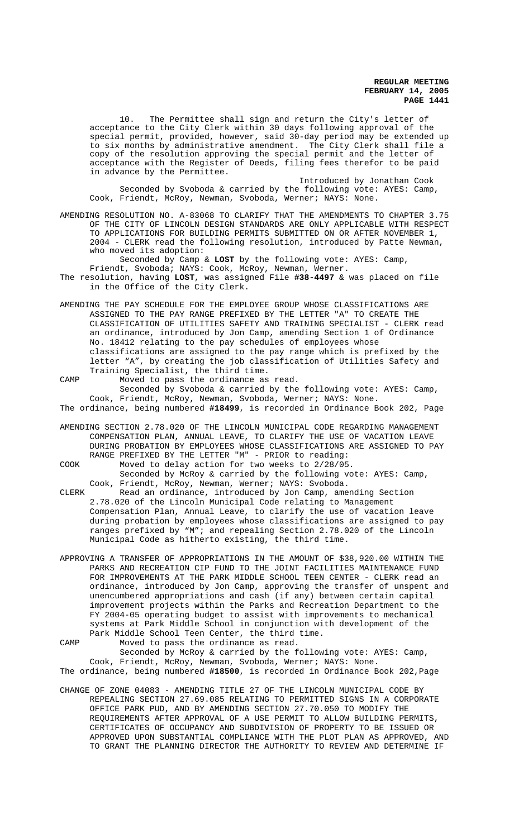10. The Permittee shall sign and return the City's letter of acceptance to the City Clerk within 30 days following approval of the special permit, provided, however, said 30-day period may be extended up to six months by administrative amendment. The City Clerk shall file a copy of the resolution approving the special permit and the letter of acceptance with the Register of Deeds, filing fees therefor to be paid in advance by the Permittee.

Introduced by Jonathan Cook Seconded by Svoboda & carried by the following vote: AYES: Camp, Cook, Friendt, McRoy, Newman, Svoboda, Werner; NAYS: None.

AMENDING RESOLUTION NO. A-83068 TO CLARIFY THAT THE AMENDMENTS TO CHAPTER 3.75 OF THE CITY OF LINCOLN DESIGN STANDARDS ARE ONLY APPLICABLE WITH RESPECT TO APPLICATIONS FOR BUILDING PERMITS SUBMITTED ON OR AFTER NOVEMBER 1, 2004 - CLERK read the following resolution, introduced by Patte Newman, who moved its adoption:

Seconded by Camp & **LOST** by the following vote: AYES: Camp, Friendt, Svoboda; NAYS: Cook, McRoy, Newman, Werner.

The resolution, having **LOST**, was assigned File **#38-4497** & was placed on file in the Office of the City Clerk.

AMENDING THE PAY SCHEDULE FOR THE EMPLOYEE GROUP WHOSE CLASSIFICATIONS ARE ASSIGNED TO THE PAY RANGE PREFIXED BY THE LETTER "A" TO CREATE THE CLASSIFICATION OF UTILITIES SAFETY AND TRAINING SPECIALIST - CLERK read an ordinance, introduced by Jon Camp, amending Section 1 of Ordinance No. 18412 relating to the pay schedules of employees whose classifications are assigned to the pay range which is prefixed by the letter "A", by creating the job classification of Utilities Safety and Training Specialist, the third time.

CAMP Moved to pass the ordinance as read. Seconded by Svoboda & carried by the following vote: AYES: Camp, Cook, Friendt, McRoy, Newman, Svoboda, Werner; NAYS: None. The ordinance, being numbered **#18499**, is recorded in Ordinance Book 202, Page

AMENDING SECTION 2.78.020 OF THE LINCOLN MUNICIPAL CODE REGARDING MANAGEMENT COMPENSATION PLAN, ANNUAL LEAVE, TO CLARIFY THE USE OF VACATION LEAVE DURING PROBATION BY EMPLOYEES WHOSE CLASSIFICATIONS ARE ASSIGNED TO PAY RANGE PREFIXED BY THE LETTER "M" - PRIOR to reading:

COOK Moved to delay action for two weeks to 2/28/05.

Seconded by McRoy & carried by the following vote: AYES: Camp, Cook, Friendt, McRoy, Newman, Werner; NAYS: Svoboda.

CLERK Read an ordinance, introduced by Jon Camp, amending Section 2.78.020 of the Lincoln Municipal Code relating to Management Compensation Plan, Annual Leave, to clarify the use of vacation leave during probation by employees whose classifications are assigned to pay ranges prefixed by "M"; and repealing Section 2.78.020 of the Lincoln Municipal Code as hitherto existing, the third time.

APPROVING A TRANSFER OF APPROPRIATIONS IN THE AMOUNT OF \$38,920.00 WITHIN THE PARKS AND RECREATION CIP FUND TO THE JOINT FACILITIES MAINTENANCE FUND FOR IMPROVEMENTS AT THE PARK MIDDLE SCHOOL TEEN CENTER - CLERK read an ordinance, introduced by Jon Camp, approving the transfer of unspent and unencumbered appropriations and cash (if any) between certain capital improvement projects within the Parks and Recreation Department to the FY 2004-05 operating budget to assist with improvements to mechanical systems at Park Middle School in conjunction with development of the Park Middle School Teen Center, the third time.

CAMP Moved to pass the ordinance as read. Seconded by McRoy & carried by the following vote: AYES: Camp, Cook, Friendt, McRoy, Newman, Svoboda, Werner; NAYS: None. The ordinance, being numbered **#18500**, is recorded in Ordinance Book 202,Page

CHANGE OF ZONE 04083 - AMENDING TITLE 27 OF THE LINCOLN MUNICIPAL CODE BY REPEALING SECTION 27.69.085 RELATING TO PERMITTED SIGNS IN A CORPORATE OFFICE PARK PUD, AND BY AMENDING SECTION 27.70.050 TO MODIFY THE REQUIREMENTS AFTER APPROVAL OF A USE PERMIT TO ALLOW BUILDING PERMITS, CERTIFICATES OF OCCUPANCY AND SUBDIVISION OF PROPERTY TO BE ISSUED OR APPROVED UPON SUBSTANTIAL COMPLIANCE WITH THE PLOT PLAN AS APPROVED, AND TO GRANT THE PLANNING DIRECTOR THE AUTHORITY TO REVIEW AND DETERMINE IF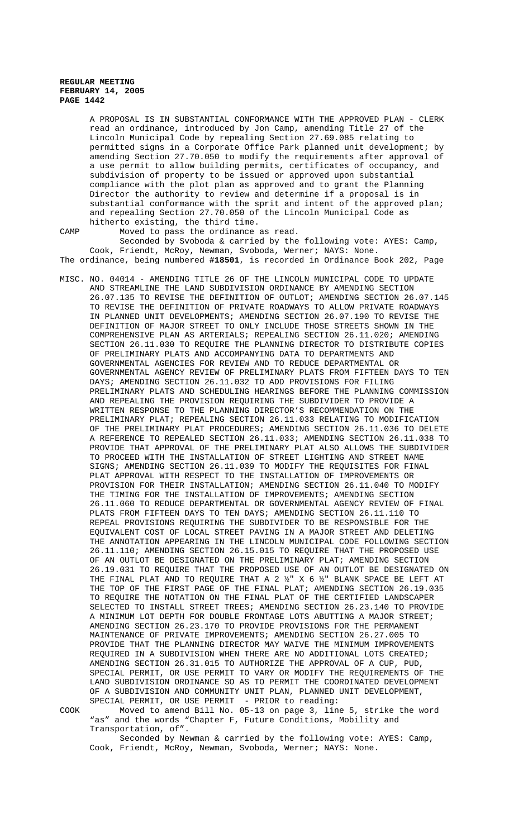A PROPOSAL IS IN SUBSTANTIAL CONFORMANCE WITH THE APPROVED PLAN - CLERK read an ordinance, introduced by Jon Camp, amending Title 27 of the Lincoln Municipal Code by repealing Section 27.69.085 relating to permitted signs in a Corporate Office Park planned unit development; by amending Section 27.70.050 to modify the requirements after approval of a use permit to allow building permits, certificates of occupancy, and subdivision of property to be issued or approved upon substantial compliance with the plot plan as approved and to grant the Planning Director the authority to review and determine if a proposal is in substantial conformance with the sprit and intent of the approved plan; and repealing Section 27.70.050 of the Lincoln Municipal Code as hitherto existing, the third time.

CAMP Moved to pass the ordinance as read.

Seconded by Svoboda & carried by the following vote: AYES: Camp, Cook, Friendt, McRoy, Newman, Svoboda, Werner; NAYS: None. The ordinance, being numbered **#18501**, is recorded in Ordinance Book 202, Page

MISC. NO. 04014 - AMENDING TITLE 26 OF THE LINCOLN MUNICIPAL CODE TO UPDATE AND STREAMLINE THE LAND SUBDIVISION ORDINANCE BY AMENDING SECTION 26.07.135 TO REVISE THE DEFINITION OF OUTLOT; AMENDING SECTION 26.07.145 TO REVISE THE DEFINITION OF PRIVATE ROADWAYS TO ALLOW PRIVATE ROADWAYS IN PLANNED UNIT DEVELOPMENTS; AMENDING SECTION 26.07.190 TO REVISE THE DEFINITION OF MAJOR STREET TO ONLY INCLUDE THOSE STREETS SHOWN IN THE COMPREHENSIVE PLAN AS ARTERIALS; REPEALING SECTION 26.11.020; AMENDING SECTION 26.11.030 TO REQUIRE THE PLANNING DIRECTOR TO DISTRIBUTE COPIES OF PRELIMINARY PLATS AND ACCOMPANYING DATA TO DEPARTMENTS AND GOVERNMENTAL AGENCIES FOR REVIEW AND TO REDUCE DEPARTMENTAL OR GOVERNMENTAL AGENCY REVIEW OF PRELIMINARY PLATS FROM FIFTEEN DAYS TO TEN DAYS; AMENDING SECTION 26.11.032 TO ADD PROVISIONS FOR FILING PRELIMINARY PLATS AND SCHEDULING HEARINGS BEFORE THE PLANNING COMMISSION AND REPEALING THE PROVISION REQUIRING THE SUBDIVIDER TO PROVIDE A WRITTEN RESPONSE TO THE PLANNING DIRECTOR'S RECOMMENDATION ON THE PRELIMINARY PLAT; REPEALING SECTION 26.11.033 RELATING TO MODIFICATION OF THE PRELIMINARY PLAT PROCEDURES; AMENDING SECTION 26.11.036 TO DELETE A REFERENCE TO REPEALED SECTION 26.11.033; AMENDING SECTION 26.11.038 TO PROVIDE THAT APPROVAL OF THE PRELIMINARY PLAT ALSO ALLOWS THE SUBDIVIDER TO PROCEED WITH THE INSTALLATION OF STREET LIGHTING AND STREET NAME SIGNS; AMENDING SECTION 26.11.039 TO MODIFY THE REQUISITES FOR FINAL PLAT APPROVAL WITH RESPECT TO THE INSTALLATION OF IMPROVEMENTS OR PROVISION FOR THEIR INSTALLATION; AMENDING SECTION 26.11.040 TO MODIFY THE TIMING FOR THE INSTALLATION OF IMPROVEMENTS; AMENDING SECTION 26.11.060 TO REDUCE DEPARTMENTAL OR GOVERNMENTAL AGENCY REVIEW OF FINAL PLATS FROM FIFTEEN DAYS TO TEN DAYS; AMENDING SECTION 26.11.110 TO REPEAL PROVISIONS REQUIRING THE SUBDIVIDER TO BE RESPONSIBLE FOR THE EQUIVALENT COST OF LOCAL STREET PAVING IN A MAJOR STREET AND DELETING THE ANNOTATION APPEARING IN THE LINCOLN MUNICIPAL CODE FOLLOWING SECTION 26.11.110; AMENDING SECTION 26.15.015 TO REQUIRE THAT THE PROPOSED USE OF AN OUTLOT BE DESIGNATED ON THE PRELIMINARY PLAT; AMENDING SECTION 26.19.031 TO REQUIRE THAT THE PROPOSED USE OF AN OUTLOT BE DESIGNATED ON THE FINAL PLAT AND TO REQUIRE THAT A 2 ½" X 6 ½" BLANK SPACE BE LEFT AT THE TOP OF THE FIRST PAGE OF THE FINAL PLAT; AMENDING SECTION 26.19.035 TO REQUIRE THE NOTATION ON THE FINAL PLAT OF THE CERTIFIED LANDSCAPER SELECTED TO INSTALL STREET TREES; AMENDING SECTION 26.23.140 TO PROVIDE A MINIMUM LOT DEPTH FOR DOUBLE FRONTAGE LOTS ABUTTING A MAJOR STREET; AMENDING SECTION 26.23.170 TO PROVIDE PROVISIONS FOR THE PERMANENT MAINTENANCE OF PRIVATE IMPROVEMENTS; AMENDING SECTION 26.27.005 TO PROVIDE THAT THE PLANNING DIRECTOR MAY WAIVE THE MINIMUM IMPROVEMENTS REQUIRED IN A SUBDIVISION WHEN THERE ARE NO ADDITIONAL LOTS CREATED; AMENDING SECTION 26.31.015 TO AUTHORIZE THE APPROVAL OF A CUP, PUD, SPECIAL PERMIT, OR USE PERMIT TO VARY OR MODIFY THE REQUIREMENTS OF THE LAND SUBDIVISION ORDINANCE SO AS TO PERMIT THE COORDINATED DEVELOPMENT OF A SUBDIVISION AND COMMUNITY UNIT PLAN, PLANNED UNIT DEVELOPMENT, SPECIAL PERMIT, OR USE PERMIT - PRIOR to reading:

COOK Moved to amend Bill No. 05-13 on page 3, line 5, strike the word "as" and the words "Chapter F, Future Conditions, Mobility and Transportation, of".

Seconded by Newman & carried by the following vote: AYES: Camp, Cook, Friendt, McRoy, Newman, Svoboda, Werner; NAYS: None.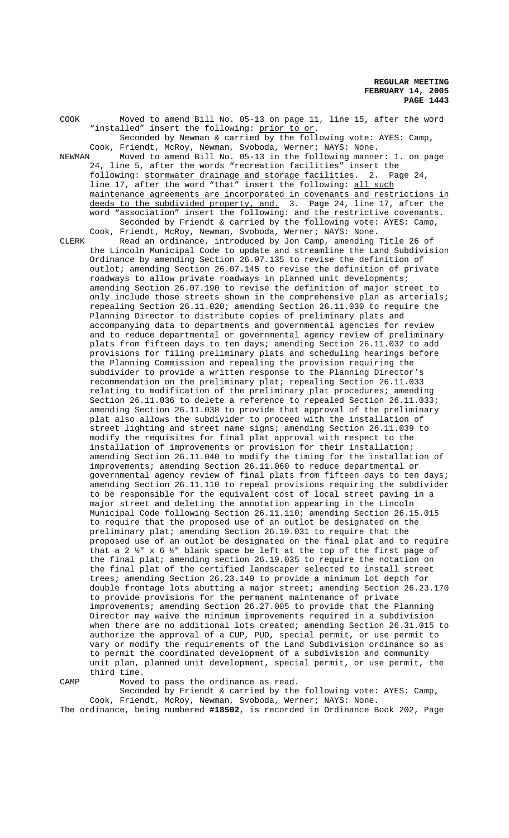COOK Moved to amend Bill No. 05-13 on page 11, line 15, after the word "installed" insert the following: prior to or. Seconded by Newman & carried by the following vote: AYES: Camp, Cook, Friendt, McRoy, Newman, Svoboda, Werner; NAYS: None. NEWMAN Moved to amend Bill No. 05-13 in the following manner: 1. on page 24, line 5, after the words "recreation facilities" insert the following: stormwater drainage and storage facilities. 2. Page 24, line 17, after the word "that" insert the following: all such maintenance agreements are incorporated in covenants and restrictions in deeds to the subdivided property, and. 3. Page 24, line 17, after the word "association" insert the following: and the restrictive covenants. Seconded by Friendt & carried by the following vote: AYES: Camp, Cook, Friendt, McRoy, Newman, Svoboda, Werner; NAYS: None. CLERK Read an ordinance, introduced by Jon Camp, amending Title 26 of the Lincoln Municipal Code to update and streamline the Land Subdivision Ordinance by amending Section 26.07.135 to revise the definition of outlot; amending Section 26.07.145 to revise the definition of private roadways to allow private roadways in planned unit developments; amending Section 26.07.190 to revise the definition of major street to only include those streets shown in the comprehensive plan as arterials; repealing Section 26.11.020; amending Section 26.11.030 to require the Planning Director to distribute copies of preliminary plats and accompanying data to departments and governmental agencies for review and to reduce departmental or governmental agency review of preliminary plats from fifteen days to ten days; amending Section 26.11.032 to add provisions for filing preliminary plats and scheduling hearings before the Planning Commission and repealing the provision requiring the subdivider to provide a written response to the Planning Director's recommendation on the preliminary plat; repealing Section 26.11.033 relating to modification of the preliminary plat procedures; amending Section 26.11.036 to delete a reference to repealed Section 26.11.033; amending Section 26.11.038 to provide that approval of the preliminary plat also allows the subdivider to proceed with the installation of street lighting and street name signs; amending Section 26.11.039 to modify the requisites for final plat approval with respect to the installation of improvements or provision for their installation; amending Section 26.11.040 to modify the timing for the installation of improvements; amending Section 26.11.060 to reduce departmental or governmental agency review of final plats from fifteen days to ten days; amending Section 26.11.110 to repeal provisions requiring the subdivider to be responsible for the equivalent cost of local street paving in a major street and deleting the annotation appearing in the Lincoln Municipal Code following Section 26.11.110; amending Section 26.15.015 to require that the proposed use of an outlot be designated on the preliminary plat; amending Section 26.19.031 to require that the proposed use of an outlot be designated on the final plat and to require that a 2  $\frac{1}{2}$ " x 6  $\frac{1}{2}$ " blank space be left at the top of the first page of the final plat; amending section 26.19.035 to require the notation on the final plat of the certified landscaper selected to install street trees; amending Section 26.23.140 to provide a minimum lot depth for double frontage lots abutting a major street; amending Section 26.23.170 to provide provisions for the permanent maintenance of private improvements; amending Section 26.27.005 to provide that the Planning Director may waive the minimum improvements required in a subdivision when there are no additional lots created; amending Section 26.31.015 to authorize the approval of a CUP, PUD, special permit, or use permit to vary or modify the requirements of the Land Subdivision ordinance so as to permit the coordinated development of a subdivision and community unit plan, planned unit development, special permit, or use permit, the third time.

CAMP Moved to pass the ordinance as read.

Seconded by Friendt & carried by the following vote: AYES: Camp, Cook, Friendt, McRoy, Newman, Svoboda, Werner; NAYS: None. The ordinance, being numbered **#18502**, is recorded in Ordinance Book 202, Page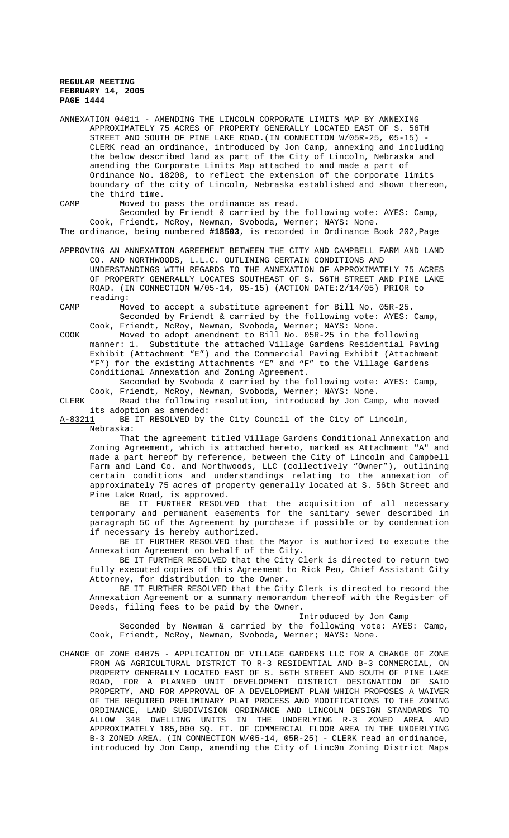ANNEXATION 04011 - AMENDING THE LINCOLN CORPORATE LIMITS MAP BY ANNEXING APPROXIMATELY 75 ACRES OF PROPERTY GENERALLY LOCATED EAST OF S. 56TH STREET AND SOUTH OF PINE LAKE ROAD. (IN CONNECTION W/05R-25, 05-15) -CLERK read an ordinance, introduced by Jon Camp, annexing and including the below described land as part of the City of Lincoln, Nebraska and amending the Corporate Limits Map attached to and made a part of Ordinance No. 18208, to reflect the extension of the corporate limits boundary of the city of Lincoln, Nebraska established and shown thereon, the third time.

CAMP Moved to pass the ordinance as read.

Seconded by Friendt & carried by the following vote: AYES: Camp, Cook, Friendt, McRoy, Newman, Svoboda, Werner; NAYS: None. The ordinance, being numbered **#18503**, is recorded in Ordinance Book 202,Page

APPROVING AN ANNEXATION AGREEMENT BETWEEN THE CITY AND CAMPBELL FARM AND LAND CO. AND NORTHWOODS, L.L.C. OUTLINING CERTAIN CONDITIONS AND UNDERSTANDINGS WITH REGARDS TO THE ANNEXATION OF APPROXIMATELY 75 ACRES OF PROPERTY GENERALLY LOCATES SOUTHEAST OF S. 56TH STREET AND PINE LAKE ROAD. (IN CONNECTION W/05-14, 05-15) (ACTION DATE:2/14/05) PRIOR to reading:

CAMP Moved to accept a substitute agreement for Bill No. 05R-25. Seconded by Friendt & carried by the following vote: AYES: Camp, Cook, Friendt, McRoy, Newman, Svoboda, Werner; NAYS: None.

COOK Moved to adopt amendment to Bill No. 05R-25 in the following manner: 1. Substitute the attached Village Gardens Residential Paving Exhibit (Attachment "E") and the Commercial Paving Exhibit (Attachment "F") for the existing Attachments "E" and "F" to the Village Gardens Conditional Annexation and Zoning Agreement.

Seconded by Svoboda & carried by the following vote: AYES: Camp, Cook, Friendt, McRoy, Newman, Svoboda, Werner; NAYS: None.

CLERK Read the following resolution, introduced by Jon Camp, who moved its adoption as amended:

A-83211 BE IT RESOLVED by the City Council of the City of Lincoln,

Nebraska:

That the agreement titled Village Gardens Conditional Annexation and Zoning Agreement, which is attached hereto, marked as Attachment "A" and made a part hereof by reference, between the City of Lincoln and Campbell Farm and Land Co. and Northwoods, LLC (collectively "Owner"), outlining certain conditions and understandings relating to the annexation of approximately 75 acres of property generally located at S. 56th Street and Pine Lake Road, is approved.

BE IT FURTHER RESOLVED that the acquisition of all necessary temporary and permanent easements for the sanitary sewer described in paragraph 5C of the Agreement by purchase if possible or by condemnation if necessary is hereby authorized.

BE IT FURTHER RESOLVED that the Mayor is authorized to execute the Annexation Agreement on behalf of the City.

BE IT FURTHER RESOLVED that the City Clerk is directed to return two fully executed copies of this Agreement to Rick Peo, Chief Assistant City Attorney, for distribution to the Owner.

BE IT FURTHER RESOLVED that the City Clerk is directed to record the Annexation Agreement or a summary memorandum thereof with the Register of Deeds, filing fees to be paid by the Owner.

Introduced by Jon Camp

Seconded by Newman & carried by the following vote: AYES: Camp, Cook, Friendt, McRoy, Newman, Svoboda, Werner; NAYS: None.

CHANGE OF ZONE 04075 - APPLICATION OF VILLAGE GARDENS LLC FOR A CHANGE OF ZONE FROM AG AGRICULTURAL DISTRICT TO R-3 RESIDENTIAL AND B-3 COMMERCIAL, ON PROPERTY GENERALLY LOCATED EAST OF S. 56TH STREET AND SOUTH OF PINE LAKE ROAD, FOR A PLANNED UNIT DEVELOPMENT DISTRICT DESIGNATION OF SAID PROPERTY, AND FOR APPROVAL OF A DEVELOPMENT PLAN WHICH PROPOSES A WAIVER OF THE REQUIRED PRELIMINARY PLAT PROCESS AND MODIFICATIONS TO THE ZONING ORDINANCE, LAND SUBDIVISION ORDINANCE AND LINCOLN DESIGN STANDARDS TO ALLOW 348 DWELLING UNITS IN THE UNDERLYING R-3 ZONED AREA AND APPROXIMATELY 185,000 SQ. FT. OF COMMERCIAL FLOOR AREA IN THE UNDERLYING B-3 ZONED AREA. (IN CONNECTION W/05-14, 05R-25) - CLERK read an ordinance, introduced by Jon Camp, amending the City of Linc0n Zoning District Maps